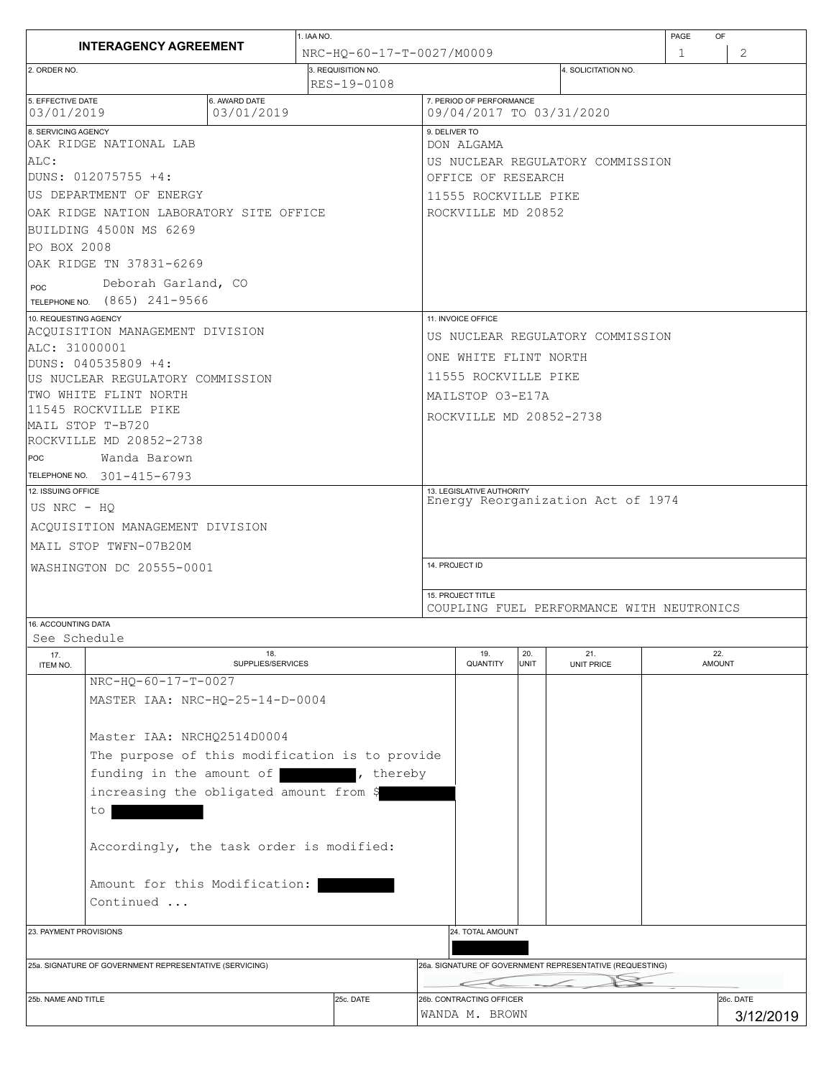| <b>INTERAGENCY AGREEMENT</b>                                                                                        |                          | 1. IAA NO.                        |                                            |                                                                |             |                                  | PAGE<br>OF |                        |  |  |
|---------------------------------------------------------------------------------------------------------------------|--------------------------|-----------------------------------|--------------------------------------------|----------------------------------------------------------------|-------------|----------------------------------|------------|------------------------|--|--|
|                                                                                                                     |                          | NRC-HO-60-17-T-0027/M0009         |                                            |                                                                |             | 2<br>1                           |            |                        |  |  |
| 2. ORDER NO.                                                                                                        |                          | 3. REQUISITION NO.<br>RES-19-0108 |                                            |                                                                |             | 4. SOLICITATION NO.              |            |                        |  |  |
| 5. EFFECTIVE DATE<br>6. AWARD DATE<br>03/01/2019<br>03/01/2019                                                      |                          |                                   |                                            | 7. PERIOD OF PERFORMANCE<br>09/04/2017 TO 03/31/2020           |             |                                  |            |                        |  |  |
| 8. SERVICING AGENCY<br>OAK RIDGE NATIONAL LAB                                                                       |                          |                                   |                                            | 9. DELIVER TO                                                  |             |                                  |            |                        |  |  |
| ALC:                                                                                                                |                          |                                   |                                            | DON ALGAMA<br>US NUCLEAR REGULATORY COMMISSION                 |             |                                  |            |                        |  |  |
| DUNS: 012075755 +4:                                                                                                 |                          |                                   |                                            | OFFICE OF RESEARCH                                             |             |                                  |            |                        |  |  |
| US DEPARTMENT OF ENERGY                                                                                             |                          |                                   |                                            | 11555 ROCKVILLE PIKE                                           |             |                                  |            |                        |  |  |
| OAK RIDGE NATION LABORATORY SITE OFFICE                                                                             |                          |                                   |                                            | ROCKVILLE MD 20852                                             |             |                                  |            |                        |  |  |
| BUILDING 4500N MS 6269                                                                                              |                          |                                   |                                            |                                                                |             |                                  |            |                        |  |  |
| PO BOX 2008                                                                                                         |                          |                                   |                                            |                                                                |             |                                  |            |                        |  |  |
| OAK RIDGE TN 37831-6269                                                                                             |                          |                                   |                                            |                                                                |             |                                  |            |                        |  |  |
| Deborah Garland, CO<br>POC                                                                                          |                          |                                   |                                            |                                                                |             |                                  |            |                        |  |  |
| TELEPHONE NO. (865) 241-9566                                                                                        |                          |                                   |                                            |                                                                |             |                                  |            |                        |  |  |
| 10. REQUESTING AGENCY                                                                                               |                          |                                   |                                            | 11. INVOICE OFFICE                                             |             |                                  |            |                        |  |  |
| ACQUISITION MANAGEMENT DIVISION                                                                                     |                          |                                   |                                            |                                                                |             | US NUCLEAR REGULATORY COMMISSION |            |                        |  |  |
| ALC: 31000001                                                                                                       |                          |                                   |                                            | ONE WHITE FLINT NORTH                                          |             |                                  |            |                        |  |  |
| DUNS: 040535809 +4:                                                                                                 |                          |                                   |                                            |                                                                |             |                                  |            |                        |  |  |
| US NUCLEAR REGULATORY COMMISSION<br>TWO WHITE FLINT NORTH                                                           |                          |                                   |                                            | 11555 ROCKVILLE PIKE                                           |             |                                  |            |                        |  |  |
| 11545 ROCKVILLE PIKE                                                                                                |                          |                                   |                                            | MAILSTOP 03-E17A                                               |             |                                  |            |                        |  |  |
| MAIL STOP T-B720                                                                                                    |                          |                                   |                                            | ROCKVILLE MD 20852-2738                                        |             |                                  |            |                        |  |  |
| ROCKVILLE MD 20852-2738                                                                                             |                          |                                   |                                            |                                                                |             |                                  |            |                        |  |  |
| POC<br>Wanda Barown                                                                                                 |                          |                                   |                                            |                                                                |             |                                  |            |                        |  |  |
| TELEPHONE NO. 301-415-6793                                                                                          |                          |                                   |                                            |                                                                |             |                                  |            |                        |  |  |
| 12. ISSUING OFFICE                                                                                                  |                          |                                   |                                            | 13. LEGISLATIVE AUTHORITY                                      |             |                                  |            |                        |  |  |
| US NRC - HQ                                                                                                         |                          |                                   |                                            | Energy Reorganization Act of 1974                              |             |                                  |            |                        |  |  |
| ACQUISITION MANAGEMENT DIVISION                                                                                     |                          |                                   |                                            |                                                                |             |                                  |            |                        |  |  |
| MAIL STOP TWFN-07B20M                                                                                               |                          |                                   |                                            |                                                                |             |                                  |            |                        |  |  |
| WASHINGTON DC 20555-0001                                                                                            |                          |                                   |                                            | 14. PROJECT ID                                                 |             |                                  |            |                        |  |  |
|                                                                                                                     |                          |                                   |                                            |                                                                |             |                                  |            |                        |  |  |
|                                                                                                                     |                          |                                   |                                            | 15. PROJECT TITLE<br>COUPLING FUEL PERFORMANCE WITH NEUTRONICS |             |                                  |            |                        |  |  |
| 16. ACCOUNTING DATA                                                                                                 |                          |                                   |                                            |                                                                |             |                                  |            |                        |  |  |
| See Schedule                                                                                                        |                          |                                   |                                            |                                                                |             |                                  |            |                        |  |  |
| 17.<br>ITEM NO.                                                                                                     | 18.<br>SUPPLIES/SERVICES |                                   |                                            | 19.<br>QUANTITY                                                | 20.<br>UNIT | 21.<br>UNIT PRICE                |            | 22.<br><b>AMOUNT</b>   |  |  |
| NRC-HQ-60-17-T-0027                                                                                                 |                          |                                   |                                            |                                                                |             |                                  |            |                        |  |  |
| MASTER IAA: NRC-HQ-25-14-D-0004                                                                                     |                          |                                   |                                            |                                                                |             |                                  |            |                        |  |  |
|                                                                                                                     |                          |                                   |                                            |                                                                |             |                                  |            |                        |  |  |
| Master IAA: NRCHQ2514D0004                                                                                          |                          |                                   |                                            |                                                                |             |                                  |            |                        |  |  |
| The purpose of this modification is to provide                                                                      |                          |                                   |                                            |                                                                |             |                                  |            |                        |  |  |
| funding in the amount of                                                                                            |                          | , thereby                         |                                            |                                                                |             |                                  |            |                        |  |  |
| increasing the obligated amount from \$                                                                             |                          |                                   |                                            |                                                                |             |                                  |            |                        |  |  |
| to                                                                                                                  |                          |                                   |                                            |                                                                |             |                                  |            |                        |  |  |
|                                                                                                                     |                          |                                   |                                            |                                                                |             |                                  |            |                        |  |  |
| Accordingly, the task order is modified:                                                                            |                          |                                   |                                            |                                                                |             |                                  |            |                        |  |  |
| Amount for this Modification:                                                                                       |                          |                                   |                                            |                                                                |             |                                  |            |                        |  |  |
| Continued                                                                                                           |                          |                                   |                                            |                                                                |             |                                  |            |                        |  |  |
|                                                                                                                     |                          |                                   |                                            |                                                                |             |                                  |            |                        |  |  |
| 23. PAYMENT PROVISIONS                                                                                              |                          |                                   |                                            | 24. TOTAL AMOUNT                                               |             |                                  |            |                        |  |  |
|                                                                                                                     |                          |                                   |                                            |                                                                |             |                                  |            |                        |  |  |
| 26a. SIGNATURE OF GOVERNMENT REPRESENTATIVE (REQUESTING)<br>25a. SIGNATURE OF GOVERNMENT REPRESENTATIVE (SERVICING) |                          |                                   |                                            |                                                                |             |                                  |            |                        |  |  |
|                                                                                                                     |                          |                                   |                                            |                                                                |             |                                  |            |                        |  |  |
| 25c. DATE<br>25b. NAME AND TITLE                                                                                    |                          |                                   | 26b. CONTRACTING OFFICER<br>WANDA M. BROWN |                                                                |             |                                  |            | 26c. DATE<br>3/12/2019 |  |  |